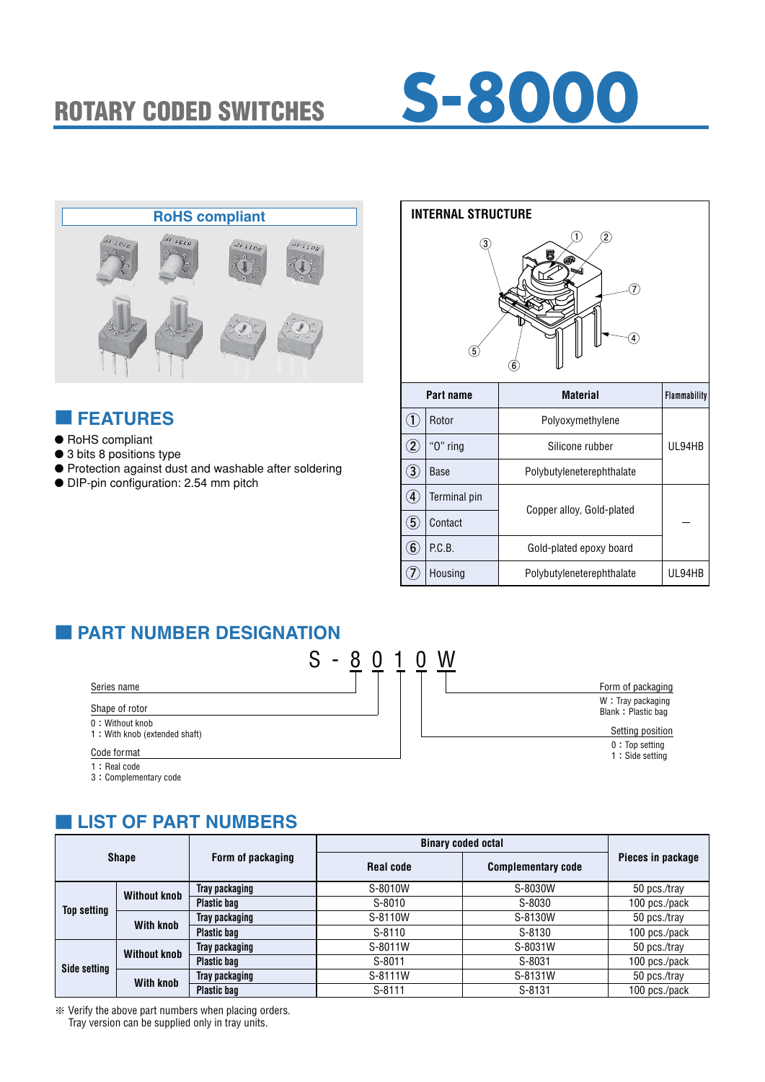



### ■ **FEATURES**

- RoHS compliant
- 3 bits 8 positions type
- Protection against dust and washable after soldering
- DIP-pin configuration: 2.54 mm pitch



| Part name         |              | <b>Material</b>           | <b>Flammability</b> |
|-------------------|--------------|---------------------------|---------------------|
|                   | Rotor        | Polyoxymethylene          |                     |
| $\mathbf{Z}$      | " $0$ " ring | Silicone rubber           | UL94HB              |
| $\left(3\right)$  | Base         | Polybutyleneterephthalate |                     |
| $\overline{A}$    | Terminal pin |                           |                     |
| $\left( 5\right)$ | Contact      |                           |                     |
| $\left( 6\right)$ | P.C.B.       | Gold-plated epoxy board   |                     |
|                   | Housing      | Polybutyleneterephthalate | UL94HB              |
|                   |              | Copper alloy, Gold-plated |                     |

# ■ **PART NUMBER DESIGNATION**



| Form of packaging                       |
|-----------------------------------------|
| W: Tray packaging<br>Blank: Plastic bag |
| Setting position                        |
| $0:$ Top setting<br>1 : Side setting    |
|                                         |

# ■ **LIST OF PART NUMBERS**

|                    |                     |                    | <b>Binary coded octal</b> |                           |                   |
|--------------------|---------------------|--------------------|---------------------------|---------------------------|-------------------|
|                    | <b>Shape</b>        | Form of packaging  | <b>Real code</b>          | <b>Complementary code</b> | Pieces in package |
|                    | <b>Without knob</b> | Tray packaging     | S-8010W                   | S-8030W                   | 50 pcs./tray      |
| <b>Top setting</b> |                     | <b>Plastic bag</b> | S-8010                    | S-8030                    | 100 pcs./pack     |
|                    | <b>With knob</b>    | Tray packaging     | S-8110W                   | S-8130W                   | 50 pcs./tray      |
|                    |                     | <b>Plastic bag</b> | S-8110                    | S-8130                    | 100 pcs./pack     |
| Side setting       | <b>Without knob</b> | Tray packaging     | S-8011W                   | S-8031W                   | 50 pcs./tray      |
|                    |                     | <b>Plastic bag</b> | $S-8011$                  | S-8031                    | 100 pcs./pack     |
|                    |                     | Tray packaging     | S-8111W                   | S-8131W                   | 50 pcs./tray      |
|                    | <b>With knob</b>    | <b>Plastic bag</b> | $S-8111$                  | S-8131                    | 100 pcs./pack     |

※ Verify the above part numbers when placing orders. Tray version can be supplied only in tray units.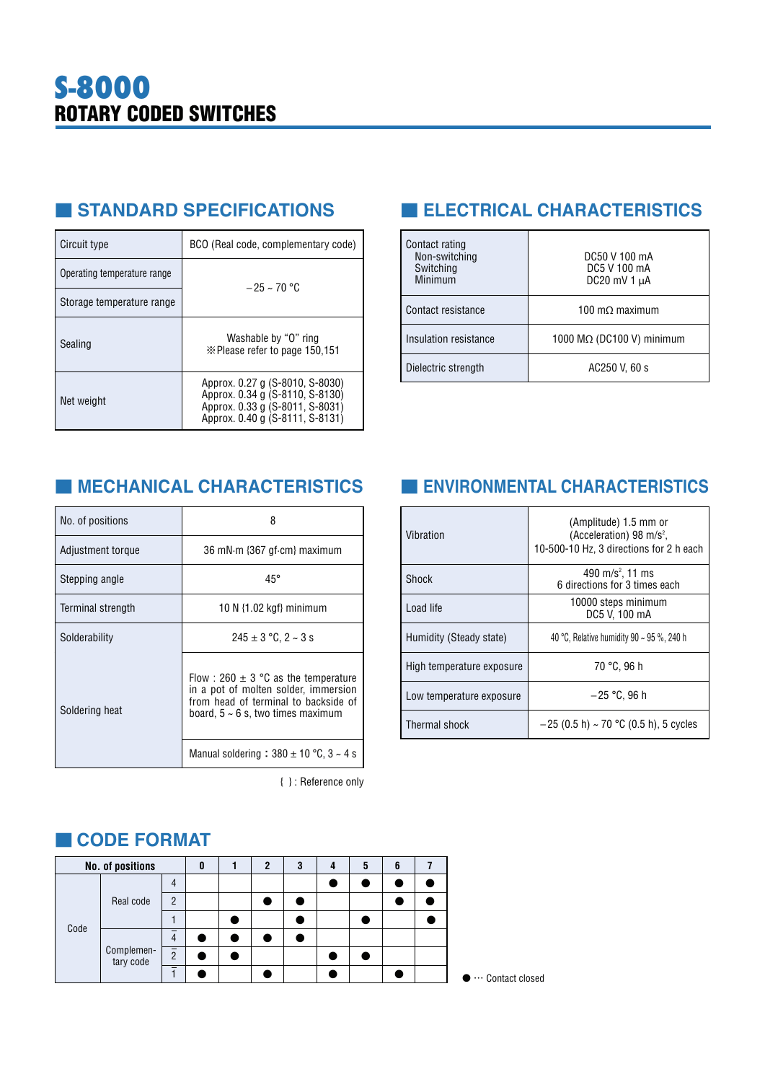# ■ **STANDARD SPECIFICATIONS**

| Circuit type                | BCO (Real code, complementary code)                                                                                                      |
|-----------------------------|------------------------------------------------------------------------------------------------------------------------------------------|
| Operating temperature range | $-25 \sim 70$ °C                                                                                                                         |
| Storage temperature range   |                                                                                                                                          |
| Sealing                     | Washable by "O" ring<br>im Please refer to page 150,151                                                                                  |
| Net weight                  | Approx. 0.27 g (S-8010, S-8030)<br>Approx. 0.34 g (S-8110, S-8130)<br>Approx. 0.33 g (S-8011, S-8031)<br>Approx. 0.40 g (S-8111, S-8131) |

# ■ **ELECTRICAL CHARACTERISTICS**

| Contact rating<br>Non-switching<br>Switching<br>Minimum | DC50 V 100 mA<br>DC5 V 100 mA<br>DC20 mV 1 $\mu$ A |
|---------------------------------------------------------|----------------------------------------------------|
| Contact resistance                                      | 100 m $\Omega$ maximum                             |
| Insulation resistance                                   | 1000 MΩ (DC100 V) minimum                          |
| Dielectric strength                                     | AC250 V, 60 s                                      |

# ■ **MECHANICAL CHARACTERISTICS** ■ **ENVIRONMENTAL CHARACTERISTICS**

| No. of positions  | 8                                                                                                                                                                                                                      |  |  |  |
|-------------------|------------------------------------------------------------------------------------------------------------------------------------------------------------------------------------------------------------------------|--|--|--|
| Adjustment torque | 36 mN·m {367 gf·cm} maximum                                                                                                                                                                                            |  |  |  |
| Stepping angle    | $45^{\circ}$                                                                                                                                                                                                           |  |  |  |
| Terminal strength | 10 N $\{1.02 \text{ kgf}\}\$ minimum                                                                                                                                                                                   |  |  |  |
| Solderability     | $245 \pm 3$ °C, 2 ~ 3 s                                                                                                                                                                                                |  |  |  |
| Soldering heat    | Flow : 260 $\pm$ 3 °C as the temperature<br>in a pot of molten solder, immersion<br>from head of terminal to backside of<br>board, $5 \sim 6$ s, two times maximum<br>Manual soldering : $380 \pm 10$ °C, $3 \sim 4$ s |  |  |  |

{ } : Reference only

| Vibration                 | (Amplitude) 1.5 mm or<br>(Acceleration) 98 m/s <sup>2</sup> ,<br>10-500-10 Hz, 3 directions for 2 h each |  |  |  |  |  |
|---------------------------|----------------------------------------------------------------------------------------------------------|--|--|--|--|--|
| Shock                     | 490 m/s <sup>2</sup> , 11 ms<br>6 directions for 3 times each                                            |  |  |  |  |  |
| Load life                 | 10000 steps minimum<br>DC5 V. 100 mA                                                                     |  |  |  |  |  |
| Humidity (Steady state)   | 40 °C, Relative humidity 90 $\sim$ 95 %, 240 h                                                           |  |  |  |  |  |
| High temperature exposure | 70 °C. 96 h                                                                                              |  |  |  |  |  |
| Low temperature exposure  | $-25$ °C. 96 h                                                                                           |  |  |  |  |  |
| <b>Thermal shock</b>      | $-25$ (0.5 h) ~ 70 °C (0.5 h), 5 cycles                                                                  |  |  |  |  |  |

# ■ **CODE FORMAT**

|      | No. of positions        |                          | 0 | 2 | 3 | 5 | 6 |  |
|------|-------------------------|--------------------------|---|---|---|---|---|--|
| Code | Real code               | 4                        |   |   |   |   |   |  |
|      |                         | $\overline{2}$           |   |   |   |   |   |  |
|      |                         |                          |   |   |   |   |   |  |
|      | Complemen-<br>tary code | —<br>4                   |   |   |   |   |   |  |
|      |                         | $\overline{2}$           |   |   |   |   |   |  |
|      |                         | $\overline{\phantom{0}}$ |   |   |   |   |   |  |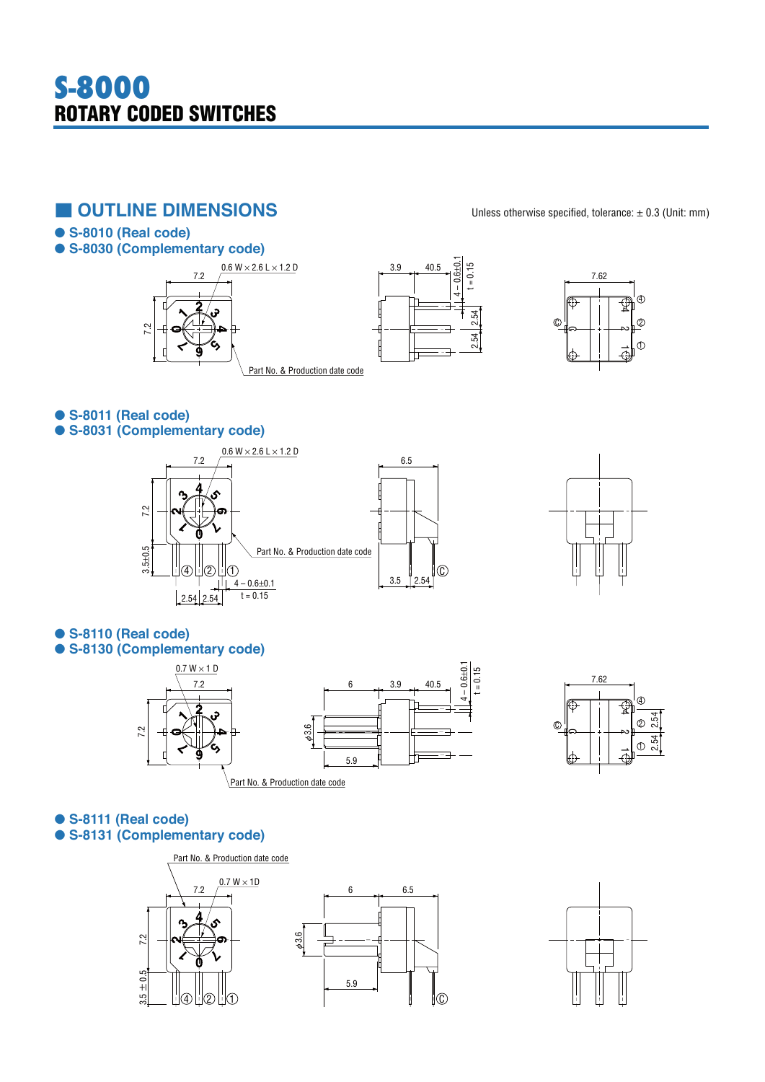# **S-8000 ROTARY CODED SWITCHES**

# ■ **OUTLINE DIMENSIONS** Unless otherwise specified, tolerance: ± 0.3 (Unit: mm)

-**S-8010 (Real code)**

### -**S-8030 (Complementary code)**







-**S-8011 (Real code)** -**S-8031 (Complementary code)**





-**S-8110 (Real code)** -**S-8130 (Complementary code)**





### -**S-8111 (Real code)** -**S-8131 (Complementary code)**